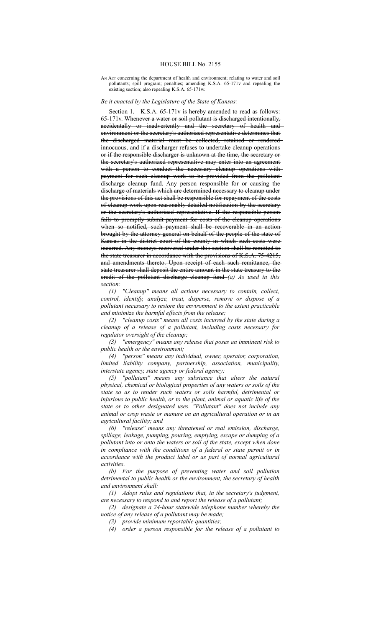## HOUSE BILL No. 2155

## AN Act concerning the department of health and environment; relating to water and soil pollutants; spill program; penalties; amending K.S.A. 65-171v and repealing the existing section; also repealing K.S.A. 65-171w.

## *Be it enacted by the Legislature of the State of Kansas:*

Section 1. K.S.A. 65-171v is hereby amended to read as follows: 65-171v. Whenever a water or soil pollutant is discharged intentionally, accidentally or inadvertently and the secretary of health and environment or the secretary's authorized representative determines that the discharged material must be collected, retained or rendered innocuous, and if a discharger refuses to undertake cleanup operations or if the responsible discharger is unknown at the time, the secretary or the secretary's authorized representative may enter into an agreement with a person to conduct the necessary cleanup operations withpayment for such cleanup work to be provided from the pollutant discharge cleanup fund. Any person responsible for or causing the discharge of materials which are determined necessary to cleanup under the provisions of this act shall be responsible for repayment of the costs of cleanup work upon reasonably detailed notification by the secretary or the secretary's authorized representative. If the responsible person fails to promptly submit payment for costs of the cleanup operations when so notified, such payment shall be recoverable in an actionbrought by the attorney general on behalf of the people of the state of Kansas in the district court of the county in which such costs were incurred. Any moneys recovered under this section shall be remitted to the state treasurer in accordance with the provisions of K.S.A. 75-4215, and amendments thereto. Upon receipt of each such remittance, the state treasurer shall deposit the entire amount in the state treasury to the credit of the pollutant discharge cleanup fund *(a) As used in this section:*

*(1) "Cleanup" means all actions necessary to contain, collect, control, identify, analyze, treat, disperse, remove or dispose of a pollutant necessary to restore the environment to the extent practicable and minimize the harmful effects from the release;*

*(2) "cleanup costs" means all costs incurred by the state during a cleanup of a release of a pollutant, including costs necessary for regulator oversight of the cleanup;*

*(3) "emergency" means any release that poses an imminent risk to public health or the environment;*

*(4) "person" means any individual, owner, operator, corporation, limited liability company, partnership, association, municipality, interstate agency, state agency or federal agency;*

*(5) "pollutant" means any substance that alters the natural physical, chemical or biological properties of any waters or soils of the state so as to render such waters or soils harmful, detrimental or injurious to public health, or to the plant, animal or aquatic life of the state or to other designated uses. "Pollutant" does not include any animal or crop waste or manure on an agricultural operation or in an agricultural facility; and*

*(6) "release" means any threatened or real emission, discharge, spillage, leakage, pumping, pouring, emptying, escape or dumping of a pollutant into or onto the waters or soil of the state, except when done in compliance with the conditions of a federal or state permit or in accordance with the product label or as part of normal agricultural activities*.

*(b) For the purpose of preventing water and soil pollution detrimental to public health or the environment, the secretary of health and environment shall:*

*(1) Adopt rules and regulations that, in the secretary's judgment, are necessary to respond to and report the release of a pollutant;*

*(2) designate a 24-hour statewide telephone number whereby the notice of any release of a pollutant may be made;*

*(3) provide minimum reportable quantities;*

*(4) order a person responsible for the release of a pollutant to*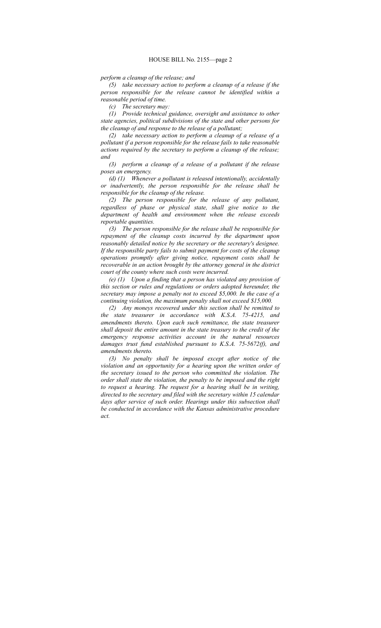*perform a cleanup of the release; and*

*(5) take necessary action to perform a cleanup of a release if the person responsible for the release cannot be identified within a reasonable period of time.*

*(c) The secretary may:*

*(1) Provide technical guidance, oversight and assistance to other state agencies, political subdivisions of the state and other persons for the cleanup of and response to the release of a pollutant;*

*(2) take necessary action to perform a cleanup of a release of a pollutant if a person responsible for the release fails to take reasonable actions required by the secretary to perform a cleanup of the release; and*

*(3) perform a cleanup of a release of a pollutant if the release poses an emergency.*

*(d) (1) Whenever a pollutant is released intentionally, accidentally or inadvertently, the person responsible for the release shall be responsible for the cleanup of the release.*

*(2) The person responsible for the release of any pollutant, regardless of phase or physical state, shall give notice to the department of health and environment when the release exceeds reportable quantities.*

*(3) The person responsible for the release shall be responsible for repayment of the cleanup costs incurred by the department upon reasonably detailed notice by the secretary or the secretary's designee. If the responsible party fails to submit payment for costs of the cleanup operations promptly after giving notice, repayment costs shall be recoverable in an action brought by the attorney general in the district court of the county where such costs were incurred.*

*(e) (1) Upon a finding that a person has violated any provision of this section or rules and regulations or orders adopted hereunder, the secretary may impose a penalty not to exceed \$5,000. In the case of a continuing violation, the maximum penalty shall not exceed \$15,000.*

*(2) Any moneys recovered under this section shall be remitted to the state treasurer in accordance with K.S.A. 75-4215, and amendments thereto. Upon each such remittance, the state treasurer shall deposit the entire amount in the state treasury to the credit of the emergency response activities account in the natural resources damages trust fund established pursuant to K.S.A. 75-5672(f), and amendments thereto.*

*(3) No penalty shall be imposed except after notice of the violation and an opportunity for a hearing upon the written order of the secretary issued to the person who committed the violation. The order shall state the violation, the penalty to be imposed and the right to request a hearing. The request for a hearing shall be in writing, directed to the secretary and filed with the secretary within 15 calendar days after service of such order. Hearings under this subsection shall be conducted in accordance with the Kansas administrative procedure act.*